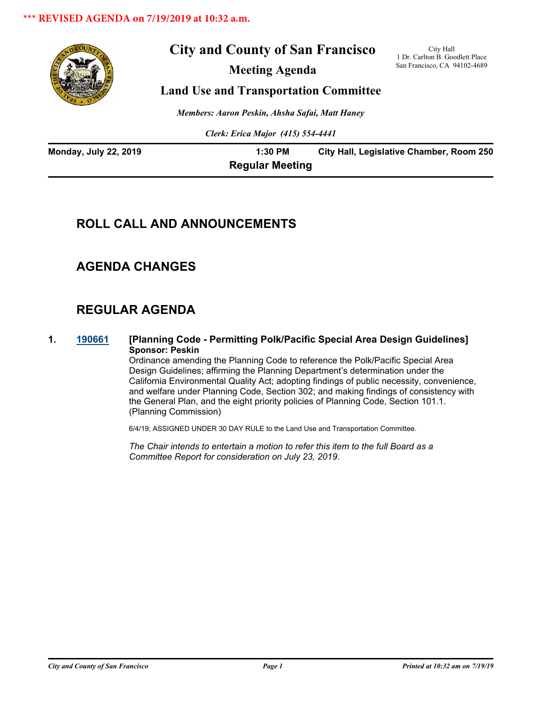

# **City and County of San Francisco**

**Meeting Agenda**

City Hall 1 Dr. Carlton B. Goodlett Place San Francisco, CA 94102-4689

# **Land Use and Transportation Committee**

*Members: Aaron Peskin, Ahsha Safai, Matt Haney*

*Clerk: Erica Major (415) 554-4441*

| <b>Monday, July 22, 2019</b> | $1:30$ PM              | City Hall, Legislative Chamber, Room 250 |
|------------------------------|------------------------|------------------------------------------|
|                              | <b>Regular Meeting</b> |                                          |

# **ROLL CALL AND ANNOUNCEMENTS**

# **AGENDA CHANGES**

# **REGULAR AGENDA**

**1. [190661](http://sfgov.legistar.com/gateway.aspx?m=l&id=34783) [Planning Code - Permitting Polk/Pacific Special Area Design Guidelines] Sponsor: Peskin**

Ordinance amending the Planning Code to reference the Polk/Pacific Special Area Design Guidelines; affirming the Planning Department's determination under the California Environmental Quality Act; adopting findings of public necessity, convenience, and welfare under Planning Code, Section 302; and making findings of consistency with the General Plan, and the eight priority policies of Planning Code, Section 101.1. (Planning Commission)

6/4/19; ASSIGNED UNDER 30 DAY RULE to the Land Use and Transportation Committee.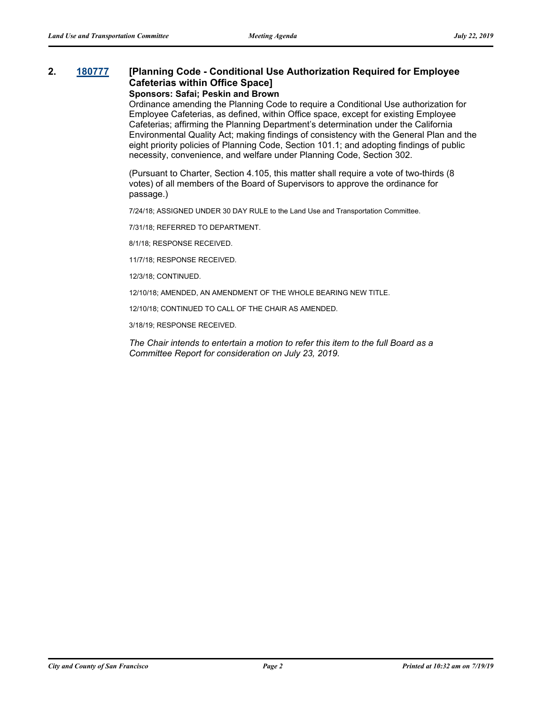# **2. [180777](http://sfgov.legistar.com/gateway.aspx?m=l&id=33646) [Planning Code - Conditional Use Authorization Required for Employee Cafeterias within Office Space]**

**Sponsors: Safai; Peskin and Brown**

Ordinance amending the Planning Code to require a Conditional Use authorization for Employee Cafeterias, as defined, within Office space, except for existing Employee Cafeterias; affirming the Planning Department's determination under the California Environmental Quality Act; making findings of consistency with the General Plan and the eight priority policies of Planning Code, Section 101.1; and adopting findings of public necessity, convenience, and welfare under Planning Code, Section 302.

(Pursuant to Charter, Section 4.105, this matter shall require a vote of two-thirds (8 votes) of all members of the Board of Supervisors to approve the ordinance for passage.)

7/24/18; ASSIGNED UNDER 30 DAY RULE to the Land Use and Transportation Committee.

7/31/18; REFERRED TO DEPARTMENT.

8/1/18; RESPONSE RECEIVED.

11/7/18; RESPONSE RECEIVED.

12/3/18; CONTINUED.

12/10/18; AMENDED, AN AMENDMENT OF THE WHOLE BEARING NEW TITLE.

12/10/18; CONTINUED TO CALL OF THE CHAIR AS AMENDED.

3/18/19; RESPONSE RECEIVED.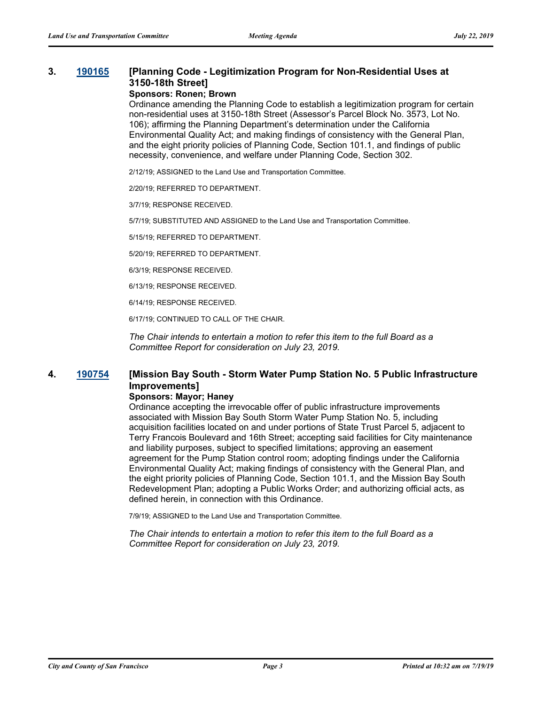## **3. [190165](http://sfgov.legistar.com/gateway.aspx?m=l&id=34286) [Planning Code - Legitimization Program for Non-Residential Uses at 3150-18th Street]**

#### **Sponsors: Ronen; Brown**

Ordinance amending the Planning Code to establish a legitimization program for certain non-residential uses at 3150-18th Street (Assessor's Parcel Block No. 3573, Lot No. 106); affirming the Planning Department's determination under the California Environmental Quality Act; and making findings of consistency with the General Plan, and the eight priority policies of Planning Code, Section 101.1, and findings of public necessity, convenience, and welfare under Planning Code, Section 302.

2/12/19; ASSIGNED to the Land Use and Transportation Committee.

2/20/19; REFERRED TO DEPARTMENT.

3/7/19; RESPONSE RECEIVED.

5/7/19; SUBSTITUTED AND ASSIGNED to the Land Use and Transportation Committee.

5/15/19; REFERRED TO DEPARTMENT.

5/20/19; REFERRED TO DEPARTMENT.

6/3/19; RESPONSE RECEIVED.

6/13/19; RESPONSE RECEIVED.

6/14/19; RESPONSE RECEIVED.

6/17/19; CONTINUED TO CALL OF THE CHAIR.

*The Chair intends to entertain a motion to refer this item to the full Board as a Committee Report for consideration on July 23, 2019.*

## **4. [190754](http://sfgov.legistar.com/gateway.aspx?m=l&id=34876) [Mission Bay South - Storm Water Pump Station No. 5 Public Infrastructure Improvements]**

#### **Sponsors: Mayor; Haney**

Ordinance accepting the irrevocable offer of public infrastructure improvements associated with Mission Bay South Storm Water Pump Station No. 5, including acquisition facilities located on and under portions of State Trust Parcel 5, adjacent to Terry Francois Boulevard and 16th Street; accepting said facilities for City maintenance and liability purposes, subject to specified limitations; approving an easement agreement for the Pump Station control room; adopting findings under the California Environmental Quality Act; making findings of consistency with the General Plan, and the eight priority policies of Planning Code, Section 101.1, and the Mission Bay South Redevelopment Plan; adopting a Public Works Order; and authorizing official acts, as defined herein, in connection with this Ordinance.

7/9/19; ASSIGNED to the Land Use and Transportation Committee.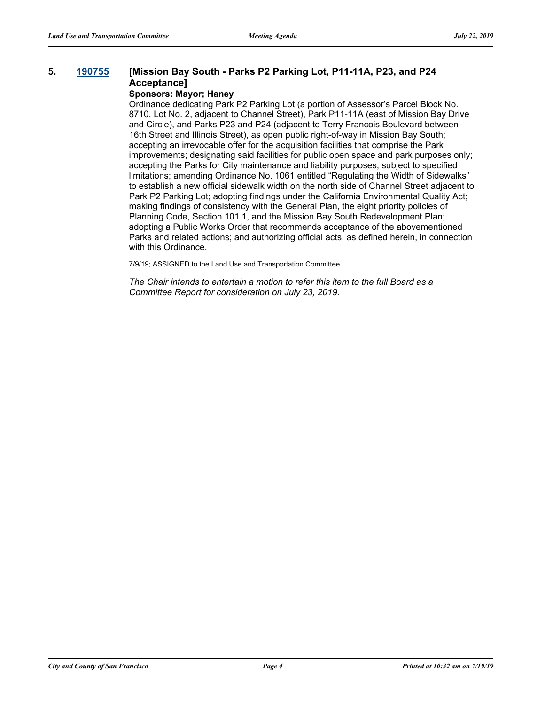### **5. [190755](http://sfgov.legistar.com/gateway.aspx?m=l&id=34877) [Mission Bay South - Parks P2 Parking Lot, P11-11A, P23, and P24 Acceptance]**

#### **Sponsors: Mayor; Haney**

Ordinance dedicating Park P2 Parking Lot (a portion of Assessor's Parcel Block No. 8710, Lot No. 2, adjacent to Channel Street), Park P11-11A (east of Mission Bay Drive and Circle), and Parks P23 and P24 (adjacent to Terry Francois Boulevard between 16th Street and Illinois Street), as open public right-of-way in Mission Bay South; accepting an irrevocable offer for the acquisition facilities that comprise the Park improvements; designating said facilities for public open space and park purposes only; accepting the Parks for City maintenance and liability purposes, subject to specified limitations; amending Ordinance No. 1061 entitled "Regulating the Width of Sidewalks" to establish a new official sidewalk width on the north side of Channel Street adjacent to Park P2 Parking Lot; adopting findings under the California Environmental Quality Act; making findings of consistency with the General Plan, the eight priority policies of Planning Code, Section 101.1, and the Mission Bay South Redevelopment Plan; adopting a Public Works Order that recommends acceptance of the abovementioned Parks and related actions; and authorizing official acts, as defined herein, in connection with this Ordinance.

7/9/19; ASSIGNED to the Land Use and Transportation Committee.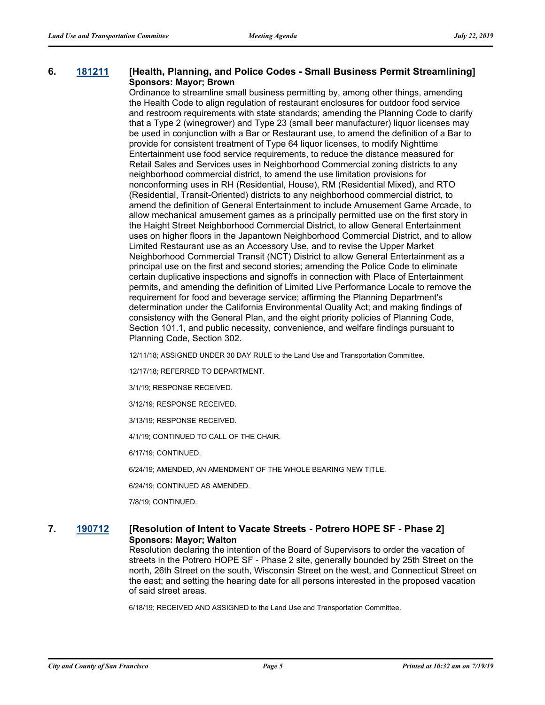#### **6. [181211](http://sfgov.legistar.com/gateway.aspx?m=l&id=34082) [Health, Planning, and Police Codes - Small Business Permit Streamlining] Sponsors: Mayor; Brown**

Ordinance to streamline small business permitting by, among other things, amending the Health Code to align regulation of restaurant enclosures for outdoor food service and restroom requirements with state standards; amending the Planning Code to clarify that a Type 2 (winegrower) and Type 23 (small beer manufacturer) liquor licenses may be used in conjunction with a Bar or Restaurant use, to amend the definition of a Bar to provide for consistent treatment of Type 64 liquor licenses, to modify Nighttime Entertainment use food service requirements, to reduce the distance measured for Retail Sales and Services uses in Neighborhood Commercial zoning districts to any neighborhood commercial district, to amend the use limitation provisions for nonconforming uses in RH (Residential, House), RM (Residential Mixed), and RTO (Residential, Transit-Oriented) districts to any neighborhood commercial district, to amend the definition of General Entertainment to include Amusement Game Arcade, to allow mechanical amusement games as a principally permitted use on the first story in the Haight Street Neighborhood Commercial District, to allow General Entertainment uses on higher floors in the Japantown Neighborhood Commercial District, and to allow Limited Restaurant use as an Accessory Use, and to revise the Upper Market Neighborhood Commercial Transit (NCT) District to allow General Entertainment as a principal use on the first and second stories; amending the Police Code to eliminate certain duplicative inspections and signoffs in connection with Place of Entertainment permits, and amending the definition of Limited Live Performance Locale to remove the requirement for food and beverage service; affirming the Planning Department's determination under the California Environmental Quality Act; and making findings of consistency with the General Plan, and the eight priority policies of Planning Code, Section 101.1, and public necessity, convenience, and welfare findings pursuant to Planning Code, Section 302.

12/11/18; ASSIGNED UNDER 30 DAY RULE to the Land Use and Transportation Committee.

12/17/18; REFERRED TO DEPARTMENT.

3/1/19; RESPONSE RECEIVED.

3/12/19; RESPONSE RECEIVED.

3/13/19; RESPONSE RECEIVED.

4/1/19; CONTINUED TO CALL OF THE CHAIR.

6/17/19; CONTINUED.

6/24/19; AMENDED, AN AMENDMENT OF THE WHOLE BEARING NEW TITLE.

6/24/19; CONTINUED AS AMENDED.

7/8/19; CONTINUED.

### **7. [190712](http://sfgov.legistar.com/gateway.aspx?m=l&id=34834) [Resolution of Intent to Vacate Streets - Potrero HOPE SF - Phase 2] Sponsors: Mayor; Walton**

Resolution declaring the intention of the Board of Supervisors to order the vacation of streets in the Potrero HOPE SF - Phase 2 site, generally bounded by 25th Street on the north, 26th Street on the south, Wisconsin Street on the west, and Connecticut Street on the east; and setting the hearing date for all persons interested in the proposed vacation of said street areas.

6/18/19; RECEIVED AND ASSIGNED to the Land Use and Transportation Committee.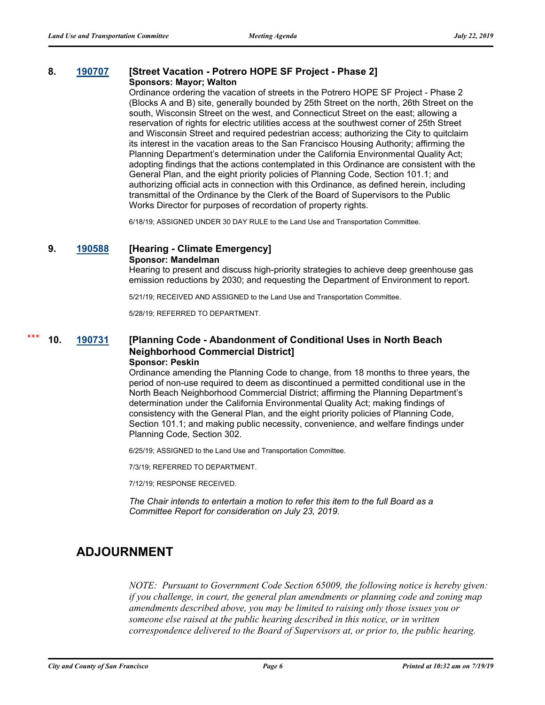#### **8. [190707](http://sfgov.legistar.com/gateway.aspx?m=l&id=34829) [Street Vacation - Potrero HOPE SF Project - Phase 2] Sponsors: Mayor; Walton**

Ordinance ordering the vacation of streets in the Potrero HOPE SF Project - Phase 2 (Blocks A and B) site, generally bounded by 25th Street on the north, 26th Street on the south, Wisconsin Street on the west, and Connecticut Street on the east; allowing a reservation of rights for electric utilities access at the southwest corner of 25th Street and Wisconsin Street and required pedestrian access; authorizing the City to quitclaim its interest in the vacation areas to the San Francisco Housing Authority; affirming the Planning Department's determination under the California Environmental Quality Act; adopting findings that the actions contemplated in this Ordinance are consistent with the General Plan, and the eight priority policies of Planning Code, Section 101.1; and authorizing official acts in connection with this Ordinance, as defined herein, including transmittal of the Ordinance by the Clerk of the Board of Supervisors to the Public Works Director for purposes of recordation of property rights.

6/18/19; ASSIGNED UNDER 30 DAY RULE to the Land Use and Transportation Committee.

### **9. [190588](http://sfgov.legistar.com/gateway.aspx?m=l&id=34710) [Hearing - Climate Emergency]**

#### **Sponsor: Mandelman**

Hearing to present and discuss high-priority strategies to achieve deep greenhouse gas emission reductions by 2030; and requesting the Department of Environment to report.

5/21/19; RECEIVED AND ASSIGNED to the Land Use and Transportation Committee.

5/28/19; REFERRED TO DEPARTMENT.

#### **10. [190731](http://sfgov.legistar.com/gateway.aspx?m=l&id=34853) [Planning Code - Abandonment of Conditional Uses in North Beach Neighborhood Commercial District] Sponsor: Peskin \*\*\***

Ordinance amending the Planning Code to change, from 18 months to three years, the period of non-use required to deem as discontinued a permitted conditional use in the North Beach Neighborhood Commercial District; affirming the Planning Department's determination under the California Environmental Quality Act; making findings of consistency with the General Plan, and the eight priority policies of Planning Code, Section 101.1; and making public necessity, convenience, and welfare findings under Planning Code, Section 302.

6/25/19; ASSIGNED to the Land Use and Transportation Committee.

7/3/19; REFERRED TO DEPARTMENT.

7/12/19; RESPONSE RECEIVED.

*The Chair intends to entertain a motion to refer this item to the full Board as a Committee Report for consideration on July 23, 2019.*

# **ADJOURNMENT**

*NOTE: Pursuant to Government Code Section 65009, the following notice is hereby given: if you challenge, in court, the general plan amendments or planning code and zoning map amendments described above, you may be limited to raising only those issues you or someone else raised at the public hearing described in this notice, or in written correspondence delivered to the Board of Supervisors at, or prior to, the public hearing.*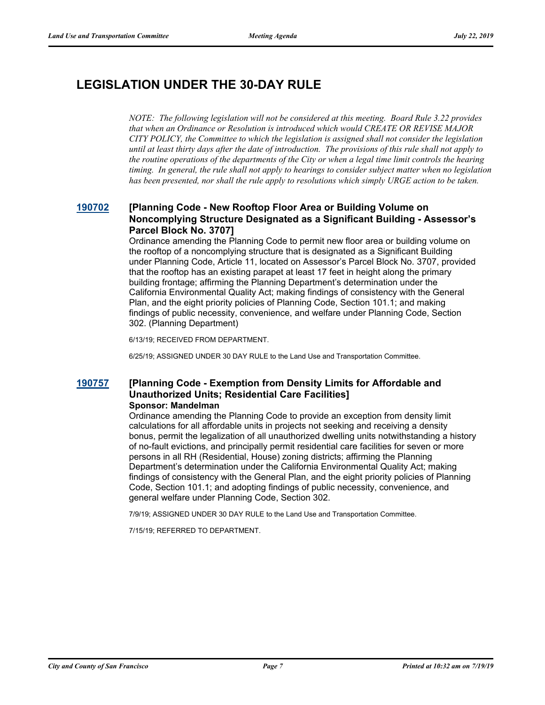# **LEGISLATION UNDER THE 30-DAY RULE**

*NOTE: The following legislation will not be considered at this meeting. Board Rule 3.22 provides that when an Ordinance or Resolution is introduced which would CREATE OR REVISE MAJOR CITY POLICY, the Committee to which the legislation is assigned shall not consider the legislation until at least thirty days after the date of introduction. The provisions of this rule shall not apply to the routine operations of the departments of the City or when a legal time limit controls the hearing timing. In general, the rule shall not apply to hearings to consider subject matter when no legislation has been presented, nor shall the rule apply to resolutions which simply URGE action to be taken.*

### **[190702](http://sfgov.legistar.com/gateway.aspx?m=l&id=34824) [Planning Code - New Rooftop Floor Area or Building Volume on Noncomplying Structure Designated as a Significant Building - Assessor's Parcel Block No. 3707]**

Ordinance amending the Planning Code to permit new floor area or building volume on the rooftop of a noncomplying structure that is designated as a Significant Building under Planning Code, Article 11, located on Assessor's Parcel Block No. 3707, provided that the rooftop has an existing parapet at least 17 feet in height along the primary building frontage; affirming the Planning Department's determination under the California Environmental Quality Act; making findings of consistency with the General Plan, and the eight priority policies of Planning Code, Section 101.1; and making findings of public necessity, convenience, and welfare under Planning Code, Section 302. (Planning Department)

6/13/19; RECEIVED FROM DEPARTMENT.

6/25/19; ASSIGNED UNDER 30 DAY RULE to the Land Use and Transportation Committee.

#### **[190757](http://sfgov.legistar.com/gateway.aspx?m=l&id=34879) [Planning Code - Exemption from Density Limits for Affordable and Unauthorized Units; Residential Care Facilities] Sponsor: Mandelman**

Ordinance amending the Planning Code to provide an exception from density limit calculations for all affordable units in projects not seeking and receiving a density bonus, permit the legalization of all unauthorized dwelling units notwithstanding a history of no-fault evictions, and principally permit residential care facilities for seven or more persons in all RH (Residential, House) zoning districts; affirming the Planning Department's determination under the California Environmental Quality Act; making findings of consistency with the General Plan, and the eight priority policies of Planning Code, Section 101.1; and adopting findings of public necessity, convenience, and general welfare under Planning Code, Section 302.

7/9/19; ASSIGNED UNDER 30 DAY RULE to the Land Use and Transportation Committee.

7/15/19; REFERRED TO DEPARTMENT.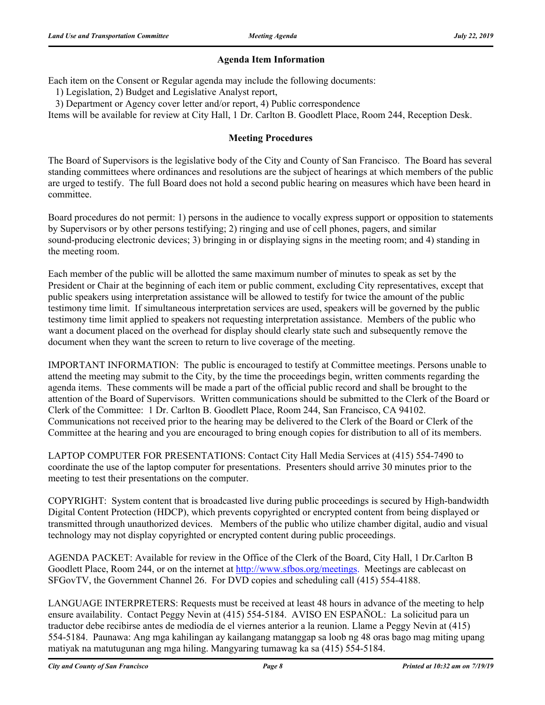### **Agenda Item Information**

Each item on the Consent or Regular agenda may include the following documents:

1) Legislation, 2) Budget and Legislative Analyst report,

3) Department or Agency cover letter and/or report, 4) Public correspondence

Items will be available for review at City Hall, 1 Dr. Carlton B. Goodlett Place, Room 244, Reception Desk.

### **Meeting Procedures**

The Board of Supervisors is the legislative body of the City and County of San Francisco. The Board has several standing committees where ordinances and resolutions are the subject of hearings at which members of the public are urged to testify. The full Board does not hold a second public hearing on measures which have been heard in committee.

Board procedures do not permit: 1) persons in the audience to vocally express support or opposition to statements by Supervisors or by other persons testifying; 2) ringing and use of cell phones, pagers, and similar sound-producing electronic devices; 3) bringing in or displaying signs in the meeting room; and 4) standing in the meeting room.

Each member of the public will be allotted the same maximum number of minutes to speak as set by the President or Chair at the beginning of each item or public comment, excluding City representatives, except that public speakers using interpretation assistance will be allowed to testify for twice the amount of the public testimony time limit. If simultaneous interpretation services are used, speakers will be governed by the public testimony time limit applied to speakers not requesting interpretation assistance. Members of the public who want a document placed on the overhead for display should clearly state such and subsequently remove the document when they want the screen to return to live coverage of the meeting.

IMPORTANT INFORMATION: The public is encouraged to testify at Committee meetings. Persons unable to attend the meeting may submit to the City, by the time the proceedings begin, written comments regarding the agenda items. These comments will be made a part of the official public record and shall be brought to the attention of the Board of Supervisors. Written communications should be submitted to the Clerk of the Board or Clerk of the Committee: 1 Dr. Carlton B. Goodlett Place, Room 244, San Francisco, CA 94102. Communications not received prior to the hearing may be delivered to the Clerk of the Board or Clerk of the Committee at the hearing and you are encouraged to bring enough copies for distribution to all of its members.

LAPTOP COMPUTER FOR PRESENTATIONS: Contact City Hall Media Services at (415) 554-7490 to coordinate the use of the laptop computer for presentations. Presenters should arrive 30 minutes prior to the meeting to test their presentations on the computer.

COPYRIGHT: System content that is broadcasted live during public proceedings is secured by High-bandwidth Digital Content Protection (HDCP), which prevents copyrighted or encrypted content from being displayed or transmitted through unauthorized devices. Members of the public who utilize chamber digital, audio and visual technology may not display copyrighted or encrypted content during public proceedings.

AGENDA PACKET: Available for review in the Office of the Clerk of the Board, City Hall, 1 Dr.Carlton B Goodlett Place, Room 244, or on the internet at http://www.sfbos.org/meetings. Meetings are cablecast on SFGovTV, the Government Channel 26. For DVD copies and scheduling call (415) 554-4188.

LANGUAGE INTERPRETERS: Requests must be received at least 48 hours in advance of the meeting to help ensure availability. Contact Peggy Nevin at (415) 554-5184. AVISO EN ESPAÑOL: La solicitud para un traductor debe recibirse antes de mediodía de el viernes anterior a la reunion. Llame a Peggy Nevin at (415) 554-5184. Paunawa: Ang mga kahilingan ay kailangang matanggap sa loob ng 48 oras bago mag miting upang matiyak na matutugunan ang mga hiling. Mangyaring tumawag ka sa (415) 554-5184.